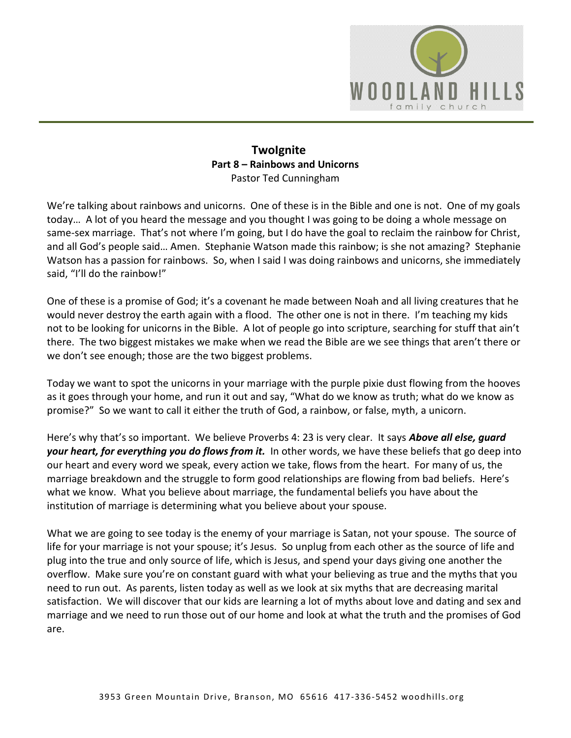

## **TwoIgnite Part 8 – Rainbows and Unicorns**  Pastor Ted Cunningham

We're talking about rainbows and unicorns. One of these is in the Bible and one is not. One of my goals today… A lot of you heard the message and you thought I was going to be doing a whole message on same-sex marriage. That's not where I'm going, but I do have the goal to reclaim the rainbow for Christ, and all God's people said… Amen. Stephanie Watson made this rainbow; is she not amazing? Stephanie Watson has a passion for rainbows. So, when I said I was doing rainbows and unicorns, she immediately said, "I'll do the rainbow!"

One of these is a promise of God; it's a covenant he made between Noah and all living creatures that he would never destroy the earth again with a flood. The other one is not in there. I'm teaching my kids not to be looking for unicorns in the Bible. A lot of people go into scripture, searching for stuff that ain't there. The two biggest mistakes we make when we read the Bible are we see things that aren't there or we don't see enough; those are the two biggest problems.

Today we want to spot the unicorns in your marriage with the purple pixie dust flowing from the hooves as it goes through your home, and run it out and say, "What do we know as truth; what do we know as promise?" So we want to call it either the truth of God, a rainbow, or false, myth, a unicorn.

Here's why that's so important. We believe Proverbs 4: 23 is very clear. It says *Above all else, guard your heart, for everything you do flows from it.* In other words, we have these beliefs that go deep into our heart and every word we speak, every action we take, flows from the heart. For many of us, the marriage breakdown and the struggle to form good relationships are flowing from bad beliefs. Here's what we know. What you believe about marriage, the fundamental beliefs you have about the institution of marriage is determining what you believe about your spouse.

What we are going to see today is the enemy of your marriage is Satan, not your spouse. The source of life for your marriage is not your spouse; it's Jesus. So unplug from each other as the source of life and plug into the true and only source of life, which is Jesus, and spend your days giving one another the overflow. Make sure you're on constant guard with what your believing as true and the myths that you need to run out. As parents, listen today as well as we look at six myths that are decreasing marital satisfaction. We will discover that our kids are learning a lot of myths about love and dating and sex and marriage and we need to run those out of our home and look at what the truth and the promises of God are.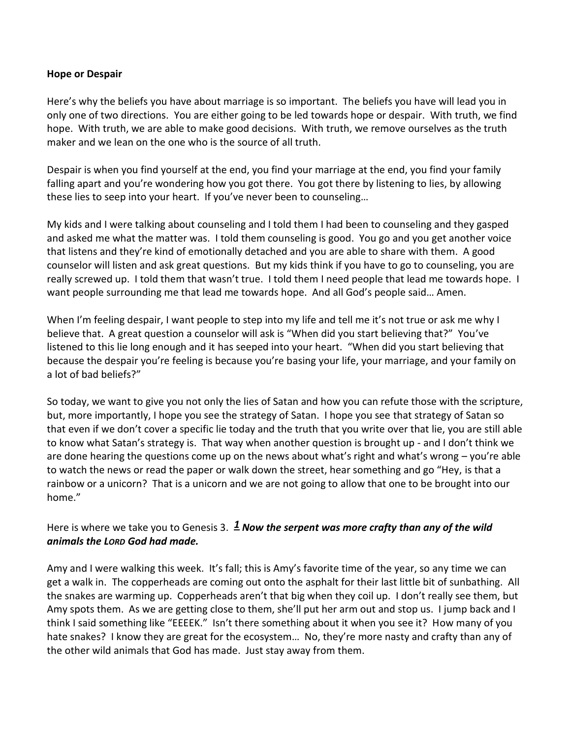#### **Hope or Despair**

Here's why the beliefs you have about marriage is so important. The beliefs you have will lead you in only one of two directions. You are either going to be led towards hope or despair. With truth, we find hope. With truth, we are able to make good decisions. With truth, we remove ourselves as the truth maker and we lean on the one who is the source of all truth.

Despair is when you find yourself at the end, you find your marriage at the end, you find your family falling apart and you're wondering how you got there. You got there by listening to lies, by allowing these lies to seep into your heart. If you've never been to counseling…

My kids and I were talking about counseling and I told them I had been to counseling and they gasped and asked me what the matter was. I told them counseling is good. You go and you get another voice that listens and they're kind of emotionally detached and you are able to share with them. A good counselor will listen and ask great questions. But my kids think if you have to go to counseling, you are really screwed up. I told them that wasn't true. I told them I need people that lead me towards hope. I want people surrounding me that lead me towards hope. And all God's people said… Amen.

When I'm feeling despair, I want people to step into my life and tell me it's not true or ask me why I believe that. A great question a counselor will ask is "When did you start believing that?" You've listened to this lie long enough and it has seeped into your heart. "When did you start believing that because the despair you're feeling is because you're basing your life, your marriage, and your family on a lot of bad beliefs?"

So today, we want to give you not only the lies of Satan and how you can refute those with the scripture, but, more importantly, I hope you see the strategy of Satan. I hope you see that strategy of Satan so that even if we don't cover a specific lie today and the truth that you write over that lie, you are still able to know what Satan's strategy is. That way when another question is brought up - and I don't think we are done hearing the questions come up on the news about what's right and what's wrong – you're able to watch the news or read the paper or walk down the street, hear something and go "Hey, is that a rainbow or a unicorn? That is a unicorn and we are not going to allow that one to be brought into our home."

## Here is where we take you to Genesis 3.  $\frac{1}{2}$  **Now the serpent was more crafty than any of the wild** *animals the LORD God had made.*

Amy and I were walking this week. It's fall; this is Amy's favorite time of the year, so any time we can get a walk in. The copperheads are coming out onto the asphalt for their last little bit of sunbathing. All the snakes are warming up. Copperheads aren't that big when they coil up. I don't really see them, but Amy spots them. As we are getting close to them, she'll put her arm out and stop us. I jump back and I think I said something like "EEEEK." Isn't there something about it when you see it? How many of you hate snakes? I know they are great for the ecosystem... No, they're more nasty and crafty than any of the other wild animals that God has made. Just stay away from them.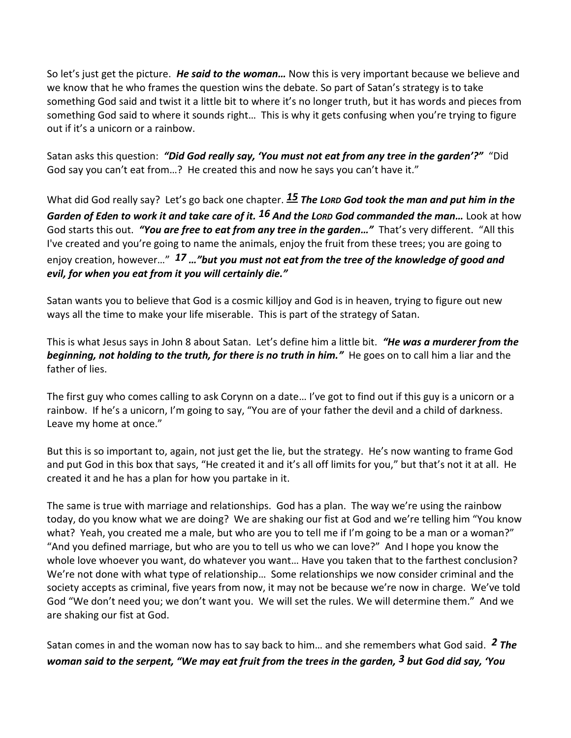So let's just get the picture. *He said to the woman…* Now this is very important because we believe and we know that he who frames the question wins the debate. So part of Satan's strategy is to take something God said and twist it a little bit to where it's no longer truth, but it has words and pieces from something God said to where it sounds right… This is why it gets confusing when you're trying to figure out if it's a unicorn or a rainbow.

Satan asks this question: *"Did God really say, 'You must not eat from any tree in the garden'?"* "Did God say you can't eat from…? He created this and now he says you can't have it."

What did God really say? Let's go back one chapter. **[15](http://www.studylight.org/desk/?q=ge%202:15&t1=en_niv&sr=1) The Lord God took the man and put him in the** *Garden of Eden to work it and take care of it. [16](http://www.studylight.org/desk/?q=ge%202:16&t1=en_niv&sr=1) And the LORD God commanded the man…* Look at how God starts this out. *"You are free to eat from any tree in the garden…"* That's very different. "All this I've created and you're going to name the animals, enjoy the fruit from these trees; you are going to enjoy creation, however…" *[17](http://www.studylight.org/desk/?q=ge%202:17&t1=en_niv&sr=1) …"but you must not eat from the tree of the knowledge of good and evil, for when you eat from it you will certainly die."*

Satan wants you to believe that God is a cosmic killjoy and God is in heaven, trying to figure out new ways all the time to make your life miserable. This is part of the strategy of Satan.

This is what Jesus says in John 8 about Satan. Let's define him a little bit. *"He was a murderer from the beginning, not holding to the truth, for there is no truth in him."* He goes on to call him a liar and the father of lies.

The first guy who comes calling to ask Corynn on a date… I've got to find out if this guy is a unicorn or a rainbow. If he's a unicorn, I'm going to say, "You are of your father the devil and a child of darkness. Leave my home at once."

But this is so important to, again, not just get the lie, but the strategy. He's now wanting to frame God and put God in this box that says, "He created it and it's all off limits for you," but that's not it at all. He created it and he has a plan for how you partake in it.

The same is true with marriage and relationships. God has a plan. The way we're using the rainbow today, do you know what we are doing? We are shaking our fist at God and we're telling him "You know what? Yeah, you created me a male, but who are you to tell me if I'm going to be a man or a woman?" "And you defined marriage, but who are you to tell us who we can love?" And I hope you know the whole love whoever you want, do whatever you want… Have you taken that to the farthest conclusion? We're not done with what type of relationship… Some relationships we now consider criminal and the society accepts as criminal, five years from now, it may not be because we're now in charge. We've told God "We don't need you; we don't want you. We will set the rules. We will determine them." And we are shaking our fist at God.

Satan comes in and the woman now has to say back to him… and she remembers what God said. *[2](http://www.studylight.org/desk/?q=ge%203:2&t1=en_niv&sr=1) The woman said to the serpent, "We may eat fruit from the trees in the garden, [3](http://www.studylight.org/desk/?q=ge%203:3&t1=en_niv&sr=1) but God did say, 'You*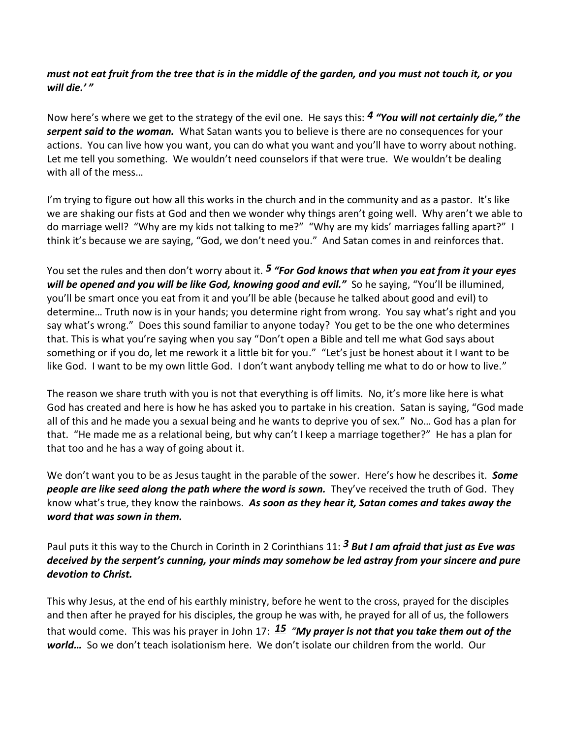# *must not eat fruit from the tree that is in the middle of the garden, and you must not touch it, or you will die.' "*

Now here's where we get to the strategy of the evil one. He says this: *[4](http://www.studylight.org/desk/?q=ge%203:4&t1=en_niv&sr=1) "You will not certainly die," the serpent said to the woman.* What Satan wants you to believe is there are no consequences for your actions. You can live how you want, you can do what you want and you'll have to worry about nothing. Let me tell you something. We wouldn't need counselors if that were true. We wouldn't be dealing with all of the mess…

I'm trying to figure out how all this works in the church and in the community and as a pastor. It's like we are shaking our fists at God and then we wonder why things aren't going well. Why aren't we able to do marriage well? "Why are my kids not talking to me?" "Why are my kids' marriages falling apart?" I think it's because we are saying, "God, we don't need you." And Satan comes in and reinforces that.

You set the rules and then don't worry about it. *[5](http://www.studylight.org/desk/?q=ge%203:5&t1=en_niv&sr=1) "For God knows that when you eat from it your eyes will be opened and you will be like God, knowing good and evil."* So he saying, "You'll be illumined, you'll be smart once you eat from it and you'll be able (because he talked about good and evil) to determine… Truth now is in your hands; you determine right from wrong. You say what's right and you say what's wrong." Does this sound familiar to anyone today? You get to be the one who determines that. This is what you're saying when you say "Don't open a Bible and tell me what God says about something or if you do, let me rework it a little bit for you." "Let's just be honest about it I want to be like God. I want to be my own little God. I don't want anybody telling me what to do or how to live."

The reason we share truth with you is not that everything is off limits. No, it's more like here is what God has created and here is how he has asked you to partake in his creation. Satan is saying, "God made all of this and he made you a sexual being and he wants to deprive you of sex." No… God has a plan for that. "He made me as a relational being, but why can't I keep a marriage together?" He has a plan for that too and he has a way of going about it.

We don't want you to be as Jesus taught in the parable of the sower. Here's how he describes it. *Some people are like seed along the path where the word is sown.* They've received the truth of God. They know what's true, they know the rainbows. *As soon as they hear it, Satan comes and takes away the word that was sown in them.*

Paul puts it this way to the Church in Corinth in 2 Corinthians 11: *[3](http://www.studylight.org/desk/?q=2co%2011:3&t1=en_niv&sr=1) But I am afraid that just as Eve was deceived by the serpent's cunning, your minds may somehow be led astray from your sincere and pure devotion to Christ.* 

This why Jesus, at the end of his earthly ministry, before he went to the cross, prayed for the disciples and then after he prayed for his disciples, the group he was with, he prayed for all of us, the followers that would come. This was his prayer in John 17: *[15](http://www.studylight.org/desk/?q=joh%2017:15&t1=en_niv&sr=1) "My prayer is not that you take them out of the world…* So we don't teach isolationism here. We don't isolate our children from the world. Our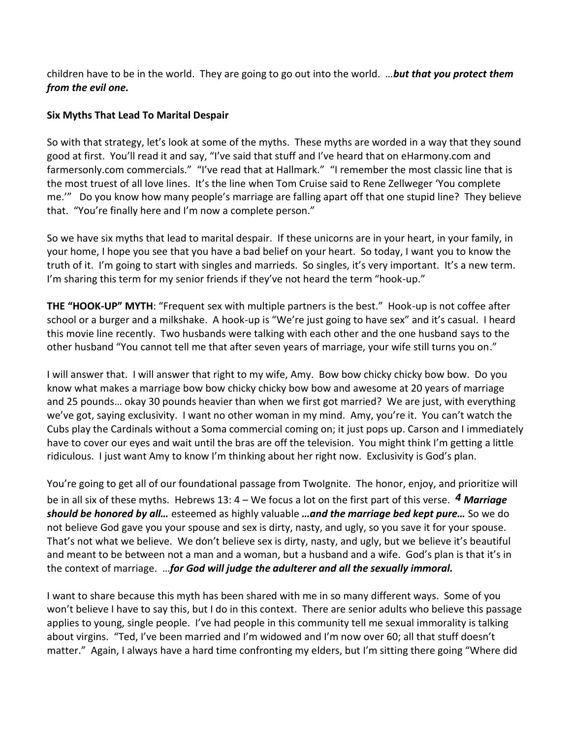children have to be in the world. They are going to go out into the world. …*but that you protect them from the evil one.*

# **Six Myths That Lead To Marital Despair**

So with that strategy, let's look at some of the myths. These myths are worded in a way that they sound good at first. You'll read it and say, "I've said that stuff and I've heard that on eHarmony.com and farmersonly.com commercials." "I've read that at Hallmark." "I remember the most classic line that is the most truest of all love lines. It's the line when Tom Cruise said to Rene Zellweger 'You complete me.'" Do you know how many people's marriage are falling apart off that one stupid line? They believe that. "You're finally here and I'm now a complete person."

So we have six myths that lead to marital despair. If these unicorns are in your heart, in your family, in your home, I hope you see that you have a bad belief on your heart. So today, I want you to know the truth of it. I'm going to start with singles and marrieds. So singles, it's very important. It's a new term. I'm sharing this term for my senior friends if they've not heard the term "hook-up."

**THE "HOOK-UP" MYTH**: "Frequent sex with multiple partners is the best." Hook-up is not coffee after school or a burger and a milkshake. A hook-up is "We're just going to have sex" and it's casual. I heard this movie line recently. Two husbands were talking with each other and the one husband says to the other husband "You cannot tell me that after seven years of marriage, your wife still turns you on."

I will answer that. I will answer that right to my wife, Amy. Bow bow chicky chicky bow bow. Do you know what makes a marriage bow bow chicky chicky bow bow and awesome at 20 years of marriage and 25 pounds… okay 30 pounds heavier than when we first got married? We are just, with everything we've got, saying exclusivity. I want no other woman in my mind. Amy, you're it. You can't watch the Cubs play the Cardinals without a Soma commercial coming on; it just pops up. Carson and I immediately have to cover our eyes and wait until the bras are off the television. You might think I'm getting a little ridiculous. I just want Amy to know I'm thinking about her right now. Exclusivity is God's plan.

You're going to get all of our foundational passage from TwoIgnite. The honor, enjoy, and prioritize will be in all six of these myths. Hebrews 13: 4 – We focus a lot on the first part of this verse. *[4](http://www.studylight.org/desk/?q=heb%2013:4&t1=en_niv&sr=1) Marriage should be honored by all…* esteemed as highly valuable *…and the marriage bed kept pure…* So we do not believe God gave you your spouse and sex is dirty, nasty, and ugly, so you save it for your spouse. That's not what we believe. We don't believe sex is dirty, nasty, and ugly, but we believe it's beautiful and meant to be between not a man and a woman, but a husband and a wife. God's plan is that it's in the context of marriage. …*for God will judge the adulterer and all the sexually immoral.* 

I want to share because this myth has been shared with me in so many different ways. Some of you won't believe I have to say this, but I do in this context. There are senior adults who believe this passage applies to young, single people. I've had people in this community tell me sexual immorality is talking about virgins. "Ted, I've been married and I'm widowed and I'm now over 60; all that stuff doesn't matter." Again, I always have a hard time confronting my elders, but I'm sitting there going "Where did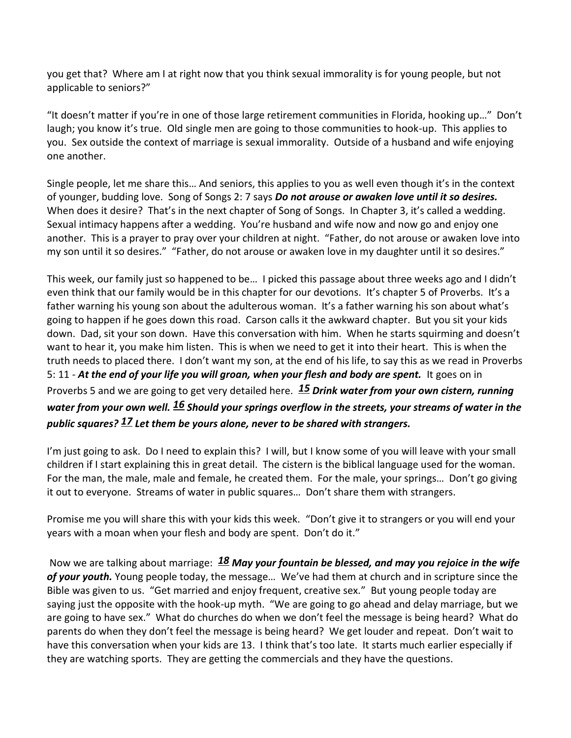you get that? Where am I at right now that you think sexual immorality is for young people, but not applicable to seniors?"

"It doesn't matter if you're in one of those large retirement communities in Florida, hooking up…" Don't laugh; you know it's true. Old single men are going to those communities to hook-up. This applies to you. Sex outside the context of marriage is sexual immorality. Outside of a husband and wife enjoying one another.

Single people, let me share this… And seniors, this applies to you as well even though it's in the context of younger, budding love. Song of Songs 2: 7 says *Do not arouse or awaken love until it so desires.* When does it desire? That's in the next chapter of Song of Songs. In Chapter 3, it's called a wedding. Sexual intimacy happens after a wedding. You're husband and wife now and now go and enjoy one another. This is a prayer to pray over your children at night. "Father, do not arouse or awaken love into my son until it so desires." "Father, do not arouse or awaken love in my daughter until it so desires."

This week, our family just so happened to be… I picked this passage about three weeks ago and I didn't even think that our family would be in this chapter for our devotions. It's chapter 5 of Proverbs. It's a father warning his young son about the adulterous woman. It's a father warning his son about what's going to happen if he goes down this road. Carson calls it the awkward chapter. But you sit your kids down. Dad, sit your son down. Have this conversation with him. When he starts squirming and doesn't want to hear it, you make him listen. This is when we need to get it into their heart. This is when the truth needs to placed there. I don't want my son, at the end of his life, to say this as we read in Proverbs 5: 11 - *At the end of your life you will groan, when your flesh and body are spent.* It goes on in Proverbs 5 and we are going to get very detailed here. *[15](http://www.studylight.org/desk/?q=pr%205:15&t1=en_niv&sr=1) Drink water from your own cistern, running water from your own well. [16](http://www.studylight.org/desk/?q=pr%205:16&t1=en_niv&sr=1) Should your springs overflow in the streets, your streams of water in the public squares? [17](http://www.studylight.org/desk/?q=pr%205:17&t1=en_niv&sr=1) Let them be yours alone, never to be shared with strangers.*

I'm just going to ask. Do I need to explain this? I will, but I know some of you will leave with your small children if I start explaining this in great detail. The cistern is the biblical language used for the woman. For the man, the male, male and female, he created them. For the male, your springs… Don't go giving it out to everyone. Streams of water in public squares… Don't share them with strangers.

Promise me you will share this with your kids this week. "Don't give it to strangers or you will end your years with a moan when your flesh and body are spent. Don't do it."

Now we are talking about marriage: *[18](http://www.studylight.org/desk/?q=pr%205:18&t1=en_niv&sr=1) May your fountain be blessed, and may you rejoice in the wife of your youth.* Young people today, the message… We've had them at church and in scripture since the Bible was given to us. "Get married and enjoy frequent, creative sex." But young people today are saying just the opposite with the hook-up myth. "We are going to go ahead and delay marriage, but we are going to have sex." What do churches do when we don't feel the message is being heard? What do parents do when they don't feel the message is being heard? We get louder and repeat. Don't wait to have this conversation when your kids are 13. I think that's too late. It starts much earlier especially if they are watching sports. They are getting the commercials and they have the questions.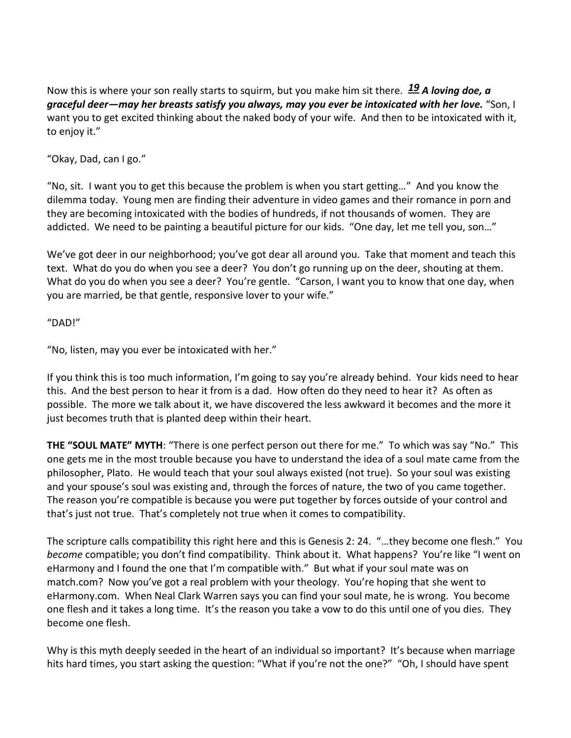Now this is where your son really starts to squirm, but you make him sit there. *[19](http://www.studylight.org/desk/?q=pr%205:19&t1=en_niv&sr=1) A loving doe, a graceful deer—may her breasts satisfy you always, may you ever be intoxicated with her love.* "Son, I want you to get excited thinking about the naked body of your wife. And then to be intoxicated with it, to enjoy it."

"Okay, Dad, can I go."

"No, sit. I want you to get this because the problem is when you start getting…" And you know the dilemma today. Young men are finding their adventure in video games and their romance in porn and they are becoming intoxicated with the bodies of hundreds, if not thousands of women. They are addicted. We need to be painting a beautiful picture for our kids. "One day, let me tell you, son…"

We've got deer in our neighborhood; you've got dear all around you. Take that moment and teach this text. What do you do when you see a deer? You don't go running up on the deer, shouting at them. What do you do when you see a deer? You're gentle. "Carson, I want you to know that one day, when you are married, be that gentle, responsive lover to your wife."

"DAD!"

"No, listen, may you ever be intoxicated with her."

If you think this is too much information, I'm going to say you're already behind. Your kids need to hear this. And the best person to hear it from is a dad. How often do they need to hear it? As often as possible. The more we talk about it, we have discovered the less awkward it becomes and the more it just becomes truth that is planted deep within their heart.

**THE "SOUL MATE" MYTH**: "There is one perfect person out there for me." To which was say "No." This one gets me in the most trouble because you have to understand the idea of a soul mate came from the philosopher, Plato. He would teach that your soul always existed (not true). So your soul was existing and your spouse's soul was existing and, through the forces of nature, the two of you came together. The reason you're compatible is because you were put together by forces outside of your control and that's just not true. That's completely not true when it comes to compatibility.

The scripture calls compatibility this right here and this is Genesis 2: 24. "…they become one flesh." You *become* compatible; you don't find compatibility. Think about it. What happens? You're like "I went on eHarmony and I found the one that I'm compatible with." But what if your soul mate was on match.com? Now you've got a real problem with your theology. You're hoping that she went to eHarmony.com. When Neal Clark Warren says you can find your soul mate, he is wrong. You become one flesh and it takes a long time. It's the reason you take a vow to do this until one of you dies. They become one flesh.

Why is this myth deeply seeded in the heart of an individual so important? It's because when marriage hits hard times, you start asking the question: "What if you're not the one?" "Oh, I should have spent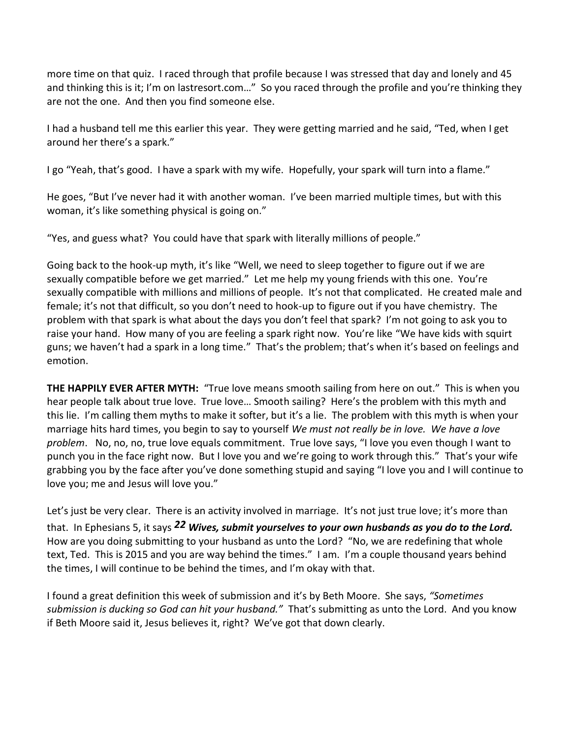more time on that quiz. I raced through that profile because I was stressed that day and lonely and 45 and thinking this is it; I'm on lastresort.com..." So you raced through the profile and you're thinking they are not the one. And then you find someone else.

I had a husband tell me this earlier this year. They were getting married and he said, "Ted, when I get around her there's a spark."

I go "Yeah, that's good. I have a spark with my wife. Hopefully, your spark will turn into a flame."

He goes, "But I've never had it with another woman. I've been married multiple times, but with this woman, it's like something physical is going on."

"Yes, and guess what? You could have that spark with literally millions of people."

Going back to the hook-up myth, it's like "Well, we need to sleep together to figure out if we are sexually compatible before we get married." Let me help my young friends with this one. You're sexually compatible with millions and millions of people. It's not that complicated. He created male and female; it's not that difficult, so you don't need to hook-up to figure out if you have chemistry. The problem with that spark is what about the days you don't feel that spark? I'm not going to ask you to raise your hand. How many of you are feeling a spark right now. You're like "We have kids with squirt guns; we haven't had a spark in a long time." That's the problem; that's when it's based on feelings and emotion.

**THE HAPPILY EVER AFTER MYTH:** "True love means smooth sailing from here on out." This is when you hear people talk about true love. True love… Smooth sailing? Here's the problem with this myth and this lie. I'm calling them myths to make it softer, but it's a lie. The problem with this myth is when your marriage hits hard times, you begin to say to yourself *We must not really be in love. We have a love problem*. No, no, no, true love equals commitment. True love says, "I love you even though I want to punch you in the face right now. But I love you and we're going to work through this." That's your wife grabbing you by the face after you've done something stupid and saying "I love you and I will continue to love you; me and Jesus will love you."

Let's just be very clear. There is an activity involved in marriage. It's not just true love; it's more than that. In Ephesians 5, it says *[22](http://www.studylight.org/desk/?q=eph%205:22&t1=en_niv&sr=1) Wives, submit yourselves to your own husbands as you do to the Lord.* How are you doing submitting to your husband as unto the Lord? "No, we are redefining that whole text, Ted. This is 2015 and you are way behind the times." I am. I'm a couple thousand years behind the times, I will continue to be behind the times, and I'm okay with that.

I found a great definition this week of submission and it's by Beth Moore. She says, *"Sometimes submission is ducking so God can hit your husband."* That's submitting as unto the Lord. And you know if Beth Moore said it, Jesus believes it, right? We've got that down clearly.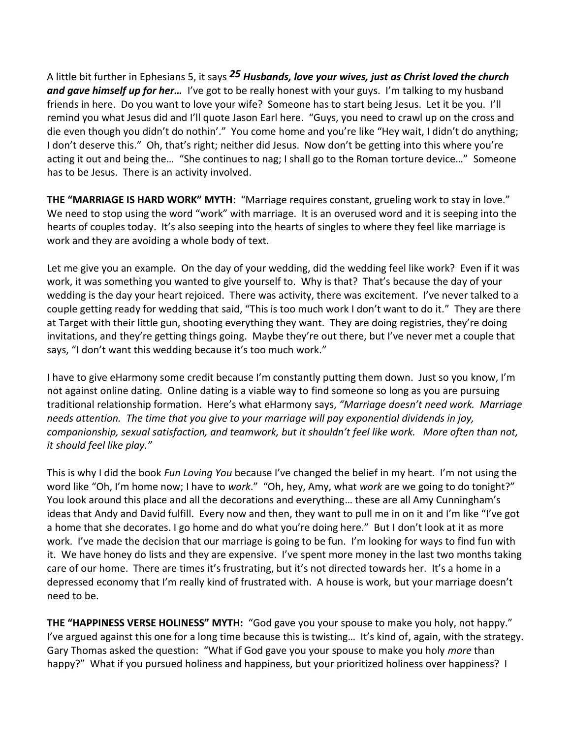A little bit further in Ephesians 5, it says *[25](http://www.studylight.org/desk/?q=eph%205:25&t1=en_niv&sr=1) Husbands, love your wives, just as Christ loved the church and gave himself up for her…* I've got to be really honest with your guys. I'm talking to my husband friends in here. Do you want to love your wife? Someone has to start being Jesus. Let it be you. I'll remind you what Jesus did and I'll quote Jason Earl here. "Guys, you need to crawl up on the cross and die even though you didn't do nothin'." You come home and you're like "Hey wait, I didn't do anything; I don't deserve this." Oh, that's right; neither did Jesus. Now don't be getting into this where you're acting it out and being the… "She continues to nag; I shall go to the Roman torture device…" Someone has to be Jesus. There is an activity involved.

**THE "MARRIAGE IS HARD WORK" MYTH**: "Marriage requires constant, grueling work to stay in love." We need to stop using the word "work" with marriage. It is an overused word and it is seeping into the hearts of couples today. It's also seeping into the hearts of singles to where they feel like marriage is work and they are avoiding a whole body of text.

Let me give you an example. On the day of your wedding, did the wedding feel like work? Even if it was work, it was something you wanted to give yourself to. Why is that? That's because the day of your wedding is the day your heart rejoiced. There was activity, there was excitement. I've never talked to a couple getting ready for wedding that said, "This is too much work I don't want to do it." They are there at Target with their little gun, shooting everything they want. They are doing registries, they're doing invitations, and they're getting things going. Maybe they're out there, but I've never met a couple that says, "I don't want this wedding because it's too much work."

I have to give eHarmony some credit because I'm constantly putting them down. Just so you know, I'm not against online dating. Online dating is a viable way to find someone so long as you are pursuing traditional relationship formation. Here's what eHarmony says, *"Marriage doesn't need work. Marriage needs attention. The time that you give to your marriage will pay exponential dividends in joy, companionship, sexual satisfaction, and teamwork, but it shouldn't feel like work. More often than not, it should feel like play."*

This is why I did the book *Fun Loving You* because I've changed the belief in my heart. I'm not using the word like "Oh, I'm home now; I have to *work*." "Oh, hey, Amy, what *work* are we going to do tonight?" You look around this place and all the decorations and everything… these are all Amy Cunningham's ideas that Andy and David fulfill. Every now and then, they want to pull me in on it and I'm like "I've got a home that she decorates. I go home and do what you're doing here." But I don't look at it as more work. I've made the decision that our marriage is going to be fun. I'm looking for ways to find fun with it. We have honey do lists and they are expensive. I've spent more money in the last two months taking care of our home. There are times it's frustrating, but it's not directed towards her. It's a home in a depressed economy that I'm really kind of frustrated with. A house is work, but your marriage doesn't need to be.

**THE "HAPPINESS VERSE HOLINESS" MYTH:** "God gave you your spouse to make you holy, not happy." I've argued against this one for a long time because this is twisting… It's kind of, again, with the strategy. Gary Thomas asked the question: "What if God gave you your spouse to make you holy *more* than happy?" What if you pursued holiness and happiness, but your prioritized holiness over happiness? I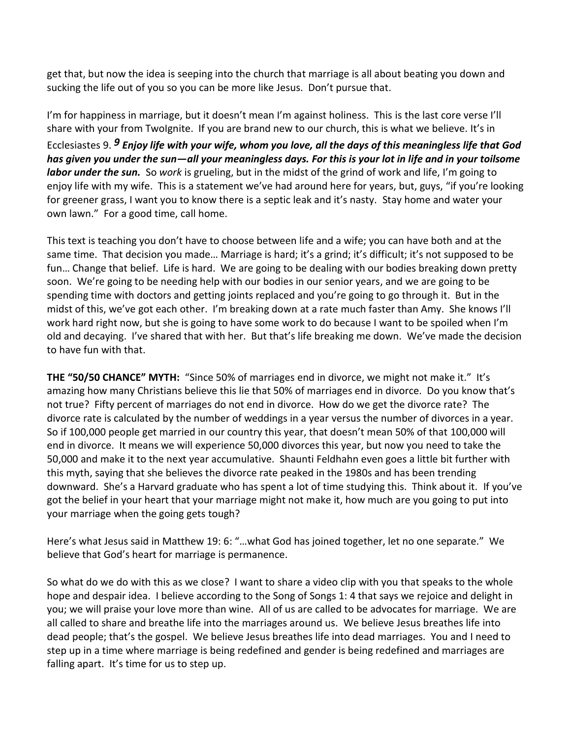get that, but now the idea is seeping into the church that marriage is all about beating you down and sucking the life out of you so you can be more like Jesus. Don't pursue that.

I'm for happiness in marriage, but it doesn't mean I'm against holiness. This is the last core verse I'll share with your from TwoIgnite. If you are brand new to our church, this is what we believe. It's in Ecclesiastes 9. *[9](http://www.studylight.org/desk/?q=ec%209:9&t1=en_niv&sr=1) Enjoy life with your wife, whom you love, all the days of this meaningless life that God has given you under the sun—all your meaningless days. For this is your lot in life and in your toilsome labor under the sun.* So *work* is grueling, but in the midst of the grind of work and life, I'm going to enjoy life with my wife. This is a statement we've had around here for years, but, guys, "if you're looking for greener grass, I want you to know there is a septic leak and it's nasty. Stay home and water your own lawn." For a good time, call home.

This text is teaching you don't have to choose between life and a wife; you can have both and at the same time. That decision you made... Marriage is hard; it's a grind; it's difficult; it's not supposed to be fun… Change that belief. Life is hard. We are going to be dealing with our bodies breaking down pretty soon. We're going to be needing help with our bodies in our senior years, and we are going to be spending time with doctors and getting joints replaced and you're going to go through it. But in the midst of this, we've got each other. I'm breaking down at a rate much faster than Amy. She knows I'll work hard right now, but she is going to have some work to do because I want to be spoiled when I'm old and decaying. I've shared that with her. But that's life breaking me down. We've made the decision to have fun with that.

**THE "50/50 CHANCE" MYTH:** "Since 50% of marriages end in divorce, we might not make it." It's amazing how many Christians believe this lie that 50% of marriages end in divorce. Do you know that's not true? Fifty percent of marriages do not end in divorce. How do we get the divorce rate? The divorce rate is calculated by the number of weddings in a year versus the number of divorces in a year. So if 100,000 people get married in our country this year, that doesn't mean 50% of that 100,000 will end in divorce. It means we will experience 50,000 divorces this year, but now you need to take the 50,000 and make it to the next year accumulative. Shaunti Feldhahn even goes a little bit further with this myth, saying that she believes the divorce rate peaked in the 1980s and has been trending downward. She's a Harvard graduate who has spent a lot of time studying this. Think about it. If you've got the belief in your heart that your marriage might not make it, how much are you going to put into your marriage when the going gets tough?

Here's what Jesus said in Matthew 19: 6: "…what God has joined together, let no one separate." We believe that God's heart for marriage is permanence.

So what do we do with this as we close? I want to share a video clip with you that speaks to the whole hope and despair idea. I believe according to the Song of Songs 1: 4 that says we rejoice and delight in you; we will praise your love more than wine. All of us are called to be advocates for marriage. We are all called to share and breathe life into the marriages around us. We believe Jesus breathes life into dead people; that's the gospel. We believe Jesus breathes life into dead marriages. You and I need to step up in a time where marriage is being redefined and gender is being redefined and marriages are falling apart. It's time for us to step up.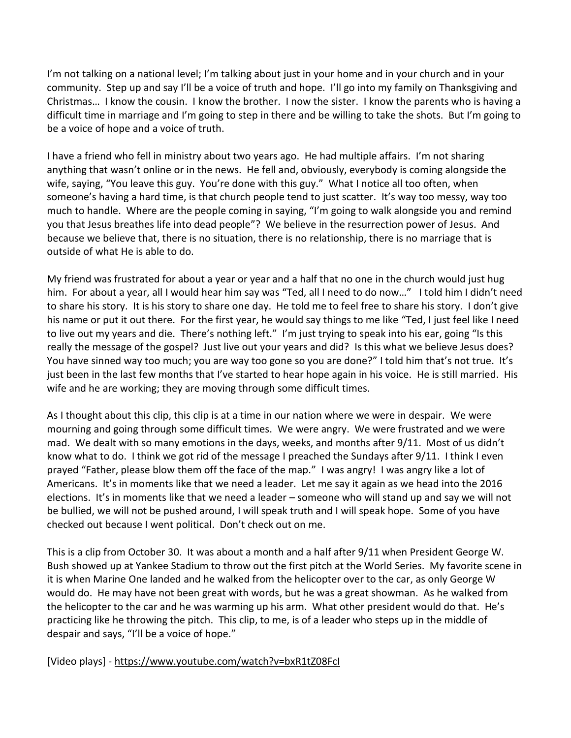I'm not talking on a national level; I'm talking about just in your home and in your church and in your community. Step up and say I'll be a voice of truth and hope. I'll go into my family on Thanksgiving and Christmas… I know the cousin. I know the brother. I now the sister. I know the parents who is having a difficult time in marriage and I'm going to step in there and be willing to take the shots. But I'm going to be a voice of hope and a voice of truth.

I have a friend who fell in ministry about two years ago. He had multiple affairs. I'm not sharing anything that wasn't online or in the news. He fell and, obviously, everybody is coming alongside the wife, saying, "You leave this guy. You're done with this guy." What I notice all too often, when someone's having a hard time, is that church people tend to just scatter. It's way too messy, way too much to handle. Where are the people coming in saying, "I'm going to walk alongside you and remind you that Jesus breathes life into dead people"? We believe in the resurrection power of Jesus. And because we believe that, there is no situation, there is no relationship, there is no marriage that is outside of what He is able to do.

My friend was frustrated for about a year or year and a half that no one in the church would just hug him. For about a year, all I would hear him say was "Ted, all I need to do now…" I told him I didn't need to share his story. It is his story to share one day. He told me to feel free to share his story. I don't give his name or put it out there. For the first year, he would say things to me like "Ted, I just feel like I need to live out my years and die. There's nothing left." I'm just trying to speak into his ear, going "Is this really the message of the gospel? Just live out your years and did? Is this what we believe Jesus does? You have sinned way too much; you are way too gone so you are done?" I told him that's not true. It's just been in the last few months that I've started to hear hope again in his voice. He is still married. His wife and he are working; they are moving through some difficult times.

As I thought about this clip, this clip is at a time in our nation where we were in despair. We were mourning and going through some difficult times. We were angry. We were frustrated and we were mad. We dealt with so many emotions in the days, weeks, and months after 9/11. Most of us didn't know what to do. I think we got rid of the message I preached the Sundays after 9/11. I think I even prayed "Father, please blow them off the face of the map." I was angry! I was angry like a lot of Americans. It's in moments like that we need a leader. Let me say it again as we head into the 2016 elections. It's in moments like that we need a leader – someone who will stand up and say we will not be bullied, we will not be pushed around, I will speak truth and I will speak hope. Some of you have checked out because I went political. Don't check out on me.

This is a clip from October 30. It was about a month and a half after 9/11 when President George W. Bush showed up at Yankee Stadium to throw out the first pitch at the World Series. My favorite scene in it is when Marine One landed and he walked from the helicopter over to the car, as only George W would do. He may have not been great with words, but he was a great showman. As he walked from the helicopter to the car and he was warming up his arm. What other president would do that. He's practicing like he throwing the pitch. This clip, to me, is of a leader who steps up in the middle of despair and says, "I'll be a voice of hope."

[Video plays] [- https://www.youtube.com/watch?v=bxR1tZ08FcI](https://www.youtube.com/watch?v=bxR1tZ08FcI)